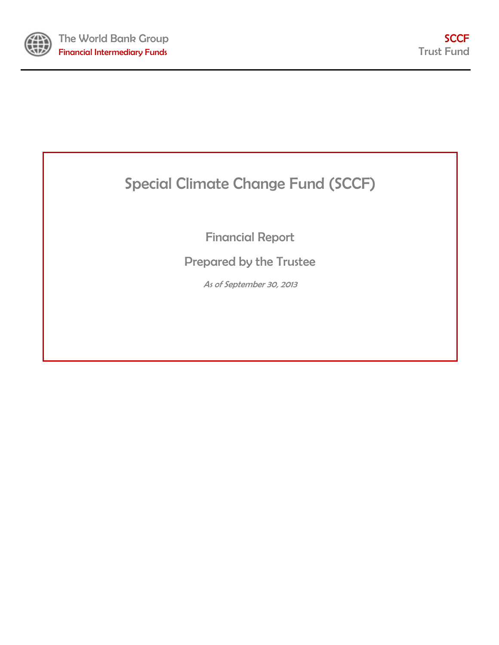

# Special Climate Change Fund (SCCF)

Financial Report

Prepared by the Trustee

As of September 30, 2013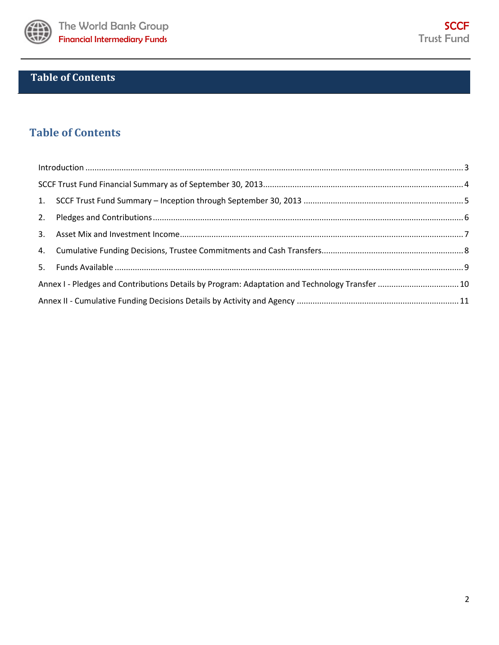

## **Table of Contents**

## **Table of Contents**

| $\label{lem:1} \mbox{Introduction} \,\, \ldots \,\, \ldots \,\, \ldots \,\, \ldots \,\, \ldots \,\, \ldots \,\, \ldots \,\, \ldots \,\, \ldots \,\, \ldots \,\, \ldots \,\, \ldots \,\, \ldots \,\, \ldots \,\, \ldots \,\, \ldots \,\, \ldots \,\, \ldots \,\, \ldots \,\, \ldots \,\, \ldots \,\, \ldots \,\, \ldots \,\, \ldots \,\, \ldots \,\, \ldots \,\, \ldots \,\, \ldots \,\, \ldots \,\, \ldots \,\, \ldots \,\, \ldots \,\, \ldots \,\, \ldots \,\,$ |  |
|------------------------------------------------------------------------------------------------------------------------------------------------------------------------------------------------------------------------------------------------------------------------------------------------------------------------------------------------------------------------------------------------------------------------------------------------------------------|--|
|                                                                                                                                                                                                                                                                                                                                                                                                                                                                  |  |
|                                                                                                                                                                                                                                                                                                                                                                                                                                                                  |  |
|                                                                                                                                                                                                                                                                                                                                                                                                                                                                  |  |
|                                                                                                                                                                                                                                                                                                                                                                                                                                                                  |  |
|                                                                                                                                                                                                                                                                                                                                                                                                                                                                  |  |
|                                                                                                                                                                                                                                                                                                                                                                                                                                                                  |  |
| Annex I - Pledges and Contributions Details by Program: Adaptation and Technology Transfer  10                                                                                                                                                                                                                                                                                                                                                                   |  |
|                                                                                                                                                                                                                                                                                                                                                                                                                                                                  |  |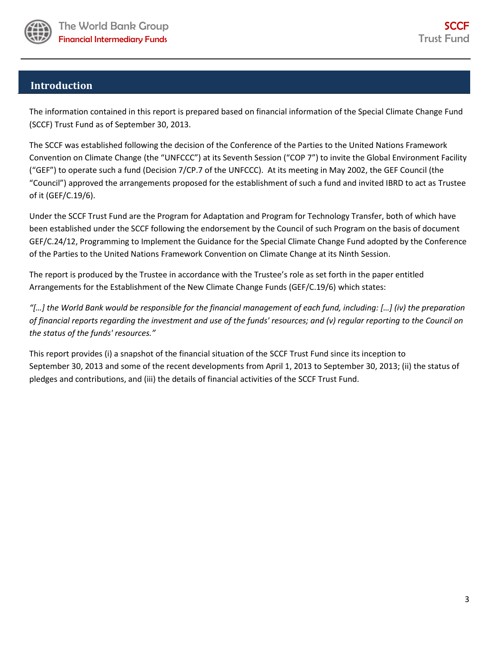

### <span id="page-2-0"></span>**Introduction**

The information contained in this report is prepared based on financial information of the Special Climate Change Fund (SCCF) Trust Fund as of September 30, 2013.

The SCCF was established following the decision of the Conference of the Parties to the United Nations Framework Convention on Climate Change (the "UNFCCC") at its Seventh Session ("COP 7") to invite the Global Environment Facility ("GEF") to operate such a fund (Decision 7/CP.7 of the UNFCCC). At its meeting in May 2002, the GEF Council (the "Council") approved the arrangements proposed for the establishment of such a fund and invited IBRD to act as Trustee of it (GEF/C.19/6).

Under the SCCF Trust Fund are the Program for Adaptation and Program for Technology Transfer, both of which have been established under the SCCF following the endorsement by the Council of such Program on the basis of document GEF/C.24/12, Programming to Implement the Guidance for the Special Climate Change Fund adopted by the Conference of the Parties to the United Nations Framework Convention on Climate Change at its Ninth Session.

The report is produced by the Trustee in accordance with the Trustee's role as set forth in the paper entitled Arrangements for the Establishment of the New Climate Change Funds (GEF/C.19/6) which states:

*"[…] the World Bank would be responsible for the financial management of each fund, including: […] (iv) the preparation of financial reports regarding the investment and use of the funds' resources; and (v) regular reporting to the Council on the status of the funds' resources."* 

This report provides (i) a snapshot of the financial situation of the SCCF Trust Fund since its inception to September 30, 2013 and some of the recent developments from April 1, 2013 to September 30, 2013; (ii) the status of pledges and contributions, and (iii) the details of financial activities of the SCCF Trust Fund.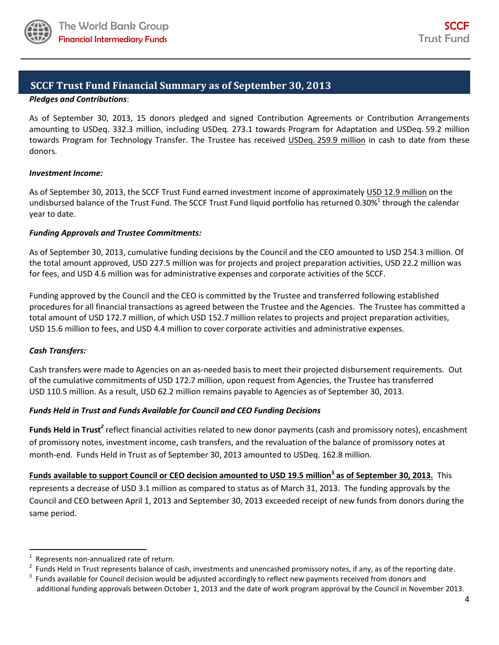

### <span id="page-3-0"></span>**SCCF Trust Fund Financial Summary as of September 30, 2013**

### *Pledges and Contributions*:

As of September 30, 2013, 15 donors pledged and signed Contribution Agreements or Contribution Arrangements amounting to USDeq. 332.3 million, including USDeq. 273.1 towards Program for Adaptation and USDeq. 59.2 million towards Program for Technology Transfer. The Trustee has received USDeq. 259.9 million in cash to date from these donors.

### *Investment Income:*

As of September 30, 2013, the SCCF Trust Fund earned investment income of approximately USD 12.9 million on the undisbursed balance of the Trust Fund. The SCCF Trust Fund liquid portfolio has returned 0.30%<sup>1</sup> through the calendar year to date.

### *Funding Approvals and Trustee Commitments:*

As of September 30, 2013, cumulative funding decisions by the Council and the CEO amounted to USD 254.3 million. Of the total amount approved, USD 227.5 million was for projects and project preparation activities, USD 22.2 million was for fees, and USD 4.6 million was for administrative expenses and corporate activities of the SCCF.

Funding approved by the Council and the CEO is committed by the Trustee and transferred following established procedures for all financial transactions as agreed between the Trustee and the Agencies. The Trustee has committed a total amount of USD 172.7 million, of which USD 152.7 million relates to projects and project preparation activities, USD 15.6 million to fees, and USD 4.4 million to cover corporate activities and administrative expenses.

### *Cash Transfers:*

l

Cash transfers were made to Agencies on an as-needed basis to meet their projected disbursement requirements. Out of the cumulative commitments of USD 172.7 million, upon request from Agencies, the Trustee has transferred USD 110.5 million. As a result, USD 62.2 million remains payable to Agencies as of September 30, 2013.

### *Funds Held in Trust and Funds Available for Council and CEO Funding Decisions*

Funds Held in Trust<sup>2</sup> reflect financial activities related to new donor payments (cash and promissory notes), encashment of promissory notes, investment income, cash transfers, and the revaluation of the balance of promissory notes at month-end. Funds Held in Trust as of September 30, 2013 amounted to USDeq. 162.8 million.

**Funds available to support Council or CEO decision amounted to USD 19.5 million<sup>3</sup> as of September 30, 2013.** This represents a decrease of USD 3.1 million as compared to status as of March 31, 2013. The funding approvals by the Council and CEO between April 1, 2013 and September 30, 2013 exceeded receipt of new funds from donors during the same period.

<sup>1</sup> Represents non-annualized rate of return.

<sup>2</sup> Funds Held in Trust represents balance of cash, investments and unencashed promissory notes, if any, as of the reporting date.

<sup>3</sup> Funds available for Council decision would be adjusted accordingly to reflect new payments received from donors and additional funding approvals between October 1, 2013 and the date of work program approval by the Council in November 2013.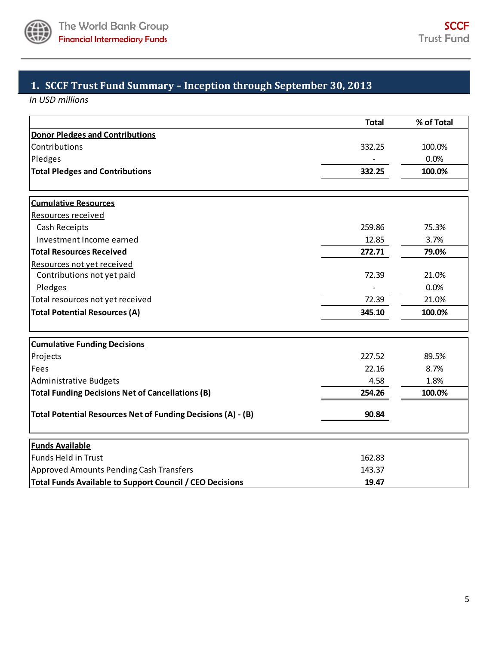

## <span id="page-4-0"></span>**1. SCCF Trust Fund Summary – Inception through September 30, 2013**

*In USD millions*

|                                                                 | <b>Total</b> | % of Total |
|-----------------------------------------------------------------|--------------|------------|
| <b>Donor Pledges and Contributions</b>                          |              |            |
| Contributions                                                   | 332.25       | 100.0%     |
| Pledges                                                         |              | 0.0%       |
| <b>Total Pledges and Contributions</b>                          | 332.25       | 100.0%     |
|                                                                 |              |            |
| <b>Cumulative Resources</b>                                     |              |            |
| Resources received                                              |              |            |
| Cash Receipts                                                   | 259.86       | 75.3%      |
| Investment Income earned                                        | 12.85        | 3.7%       |
| <b>Total Resources Received</b>                                 | 272.71       | 79.0%      |
| Resources not yet received                                      |              |            |
| Contributions not yet paid                                      | 72.39        | 21.0%      |
| Pledges                                                         |              | 0.0%       |
| Total resources not yet received                                | 72.39        | 21.0%      |
| <b>Total Potential Resources (A)</b>                            | 345.10       | 100.0%     |
|                                                                 |              |            |
| <b>Cumulative Funding Decisions</b>                             |              |            |
| Projects                                                        | 227.52       | 89.5%      |
| Fees                                                            | 22.16        | 8.7%       |
| Administrative Budgets                                          | 4.58         | 1.8%       |
| <b>Total Funding Decisions Net of Cancellations (B)</b>         | 254.26       | 100.0%     |
| Total Potential Resources Net of Funding Decisions (A) - (B)    | 90.84        |            |
|                                                                 |              |            |
| <b>Funds Available</b>                                          |              |            |
| <b>Funds Held in Trust</b>                                      | 162.83       |            |
| <b>Approved Amounts Pending Cash Transfers</b>                  | 143.37       |            |
| <b>Total Funds Available to Support Council / CEO Decisions</b> | 19.47        |            |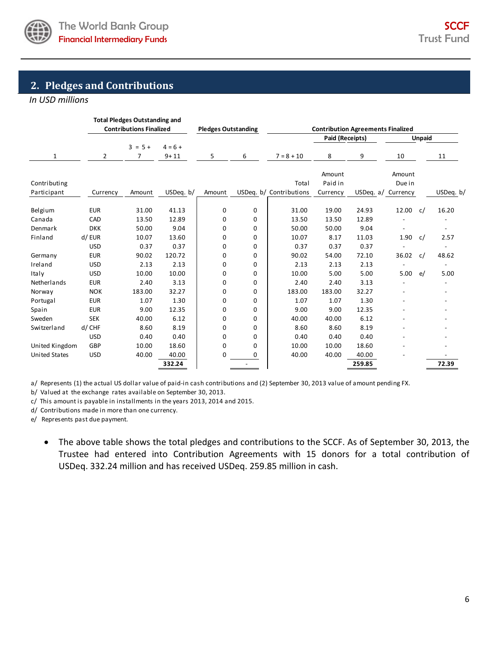

### <span id="page-5-0"></span>**2. Pledges and Contributions**

*In USD millions*

|                             |                          | <b>Total Pledges Outstanding and</b><br><b>Contributions Finalized</b> |                       | <b>Pledges Outstanding</b> |                            |                                  |                               | <b>Contribution Agreements Finalized</b> |                  |               |           |
|-----------------------------|--------------------------|------------------------------------------------------------------------|-----------------------|----------------------------|----------------------------|----------------------------------|-------------------------------|------------------------------------------|------------------|---------------|-----------|
|                             |                          |                                                                        |                       |                            |                            |                                  | Paid (Receipts)               |                                          |                  | <b>Unpaid</b> |           |
| 1                           | 2                        | $3 = 5 +$<br>7                                                         | $4 = 6 +$<br>$9 + 11$ | 5                          | 6                          | $7 = 8 + 10$                     | 8                             | 9                                        | 10               |               | 11        |
| Contributing<br>Participant | Currency                 | Amount                                                                 | USDeq. b/             | Amount                     |                            | Total<br>USDeq. b/ Contributions | Amount<br>Paid in<br>Currency | USDeq. a/ Currency                       | Amount<br>Due in |               | USDeq. b/ |
| Belgium<br>Canada           | <b>EUR</b><br>CAD        | 31.00<br>13.50                                                         | 41.13<br>12.89        | 0<br>0                     | $\mathbf 0$<br>0           | 31.00<br>13.50                   | 19.00<br>13.50                | 24.93<br>12.89                           | 12.00            | c/            | 16.20     |
| Denmark                     | <b>DKK</b>               | 50.00                                                                  | 9.04                  | 0                          | $\mathbf 0$                | 50.00                            | 50.00                         | 9.04                                     |                  |               |           |
| Finland                     | d/EUR<br><b>USD</b>      | 10.07<br>0.37                                                          | 13.60<br>0.37         | $\mathbf 0$<br>0           | $\mathbf 0$<br>$\mathbf 0$ | 10.07<br>0.37                    | 8.17<br>0.37                  | 11.03<br>0.37                            | 1.90             | c/            | 2.57      |
| Germany                     | <b>EUR</b>               | 90.02                                                                  | 120.72                | $\Omega$                   | $\Omega$                   | 90.02                            | 54.00                         | 72.10                                    | 36.02            | c/            | 48.62     |
| Ireland<br>Italy            | <b>USD</b><br><b>USD</b> | 2.13<br>10.00                                                          | 2.13<br>10.00         | 0<br>0                     | 0<br>0                     | 2.13<br>10.00                    | 2.13<br>5.00                  | 2.13<br>5.00                             | 5.00             | e/            | 5.00      |
| Netherlands                 | <b>EUR</b>               | 2.40                                                                   | 3.13                  | 0                          | 0                          | 2.40                             | 2.40                          | 3.13                                     |                  |               |           |
| Norway<br>Portugal          | <b>NOK</b><br><b>EUR</b> | 183.00<br>1.07                                                         | 32.27<br>1.30         | 0<br>$\Omega$              | 0<br>$\Omega$              | 183.00<br>1.07                   | 183.00<br>1.07                | 32.27<br>1.30                            |                  |               |           |
| Spain                       | <b>EUR</b>               | 9.00                                                                   | 12.35                 | $\mathbf 0$                | $\mathbf 0$                | 9.00                             | 9.00                          | 12.35                                    |                  |               |           |
| Sweden<br>Switzerland       | <b>SEK</b><br>d/ CHF     | 40.00<br>8.60                                                          | 6.12<br>8.19          | 0<br>$\mathbf 0$           | $\mathbf 0$<br>$\mathbf 0$ | 40.00<br>8.60                    | 40.00<br>8.60                 | 6.12<br>8.19                             |                  |               |           |
| United Kingdom              | <b>USD</b><br>GBP        | 0.40<br>10.00                                                          | 0.40<br>18.60         | 0<br>$\mathbf 0$           | 0<br>$\mathbf 0$           | 0.40<br>10.00                    | 0.40<br>10.00                 | 0.40<br>18.60                            |                  |               |           |
| <b>United States</b>        | <b>USD</b>               | 40.00                                                                  | 40.00                 | $\Omega$                   | 0                          | 40.00                            | 40.00                         | 40.00                                    |                  |               |           |
|                             |                          |                                                                        | 332.24                |                            |                            |                                  |                               | 259.85                                   |                  |               | 72.39     |

a/ Represents (1) the actual US dollar value of paid-in cash contributions and (2) September 30, 2013 value of amount pending FX.

b/ Valued at the exchange rates available on September 30, 2013.

c/ This amount is payable in installments in the years 2013, 2014 and 2015.

d/ Contributions made in more than one currency.

e/ Represents past due payment.

 The above table shows the total pledges and contributions to the SCCF. As of September 30, 2013, the Trustee had entered into Contribution Agreements with 15 donors for a total contribution of USDeq. 332.24 million and has received USDeq. 259.85 million in cash.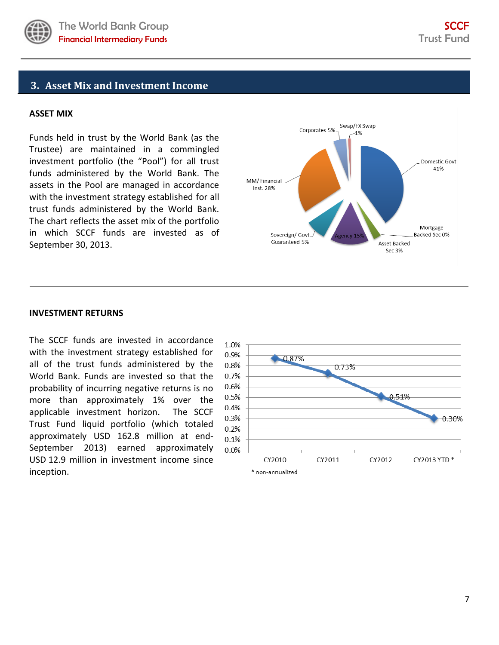

### <span id="page-6-0"></span>**3. Asset Mix and Investment Income**

#### **ASSET MIX**

Funds held in trust by the World Bank (as the Trustee) are maintained in a commingled investment portfolio (the "Pool") for all trust funds administered by the World Bank. The assets in the Pool are managed in accordance with the investment strategy established for all trust funds administered by the World Bank. The chart reflects the asset mix of the portfolio in which SCCF funds are invested as of September 30, 2013.



#### **INVESTMENT RETURNS**

The SCCF funds are invested in accordance with the investment strategy established for all of the trust funds administered by the World Bank. Funds are invested so that the probability of incurring negative returns is no more than approximately 1% over the applicable investment horizon. The SCCF Trust Fund liquid portfolio (which totaled approximately USD 162.8 million at end-September 2013) earned approximately USD 12.9 million in investment income since inception.

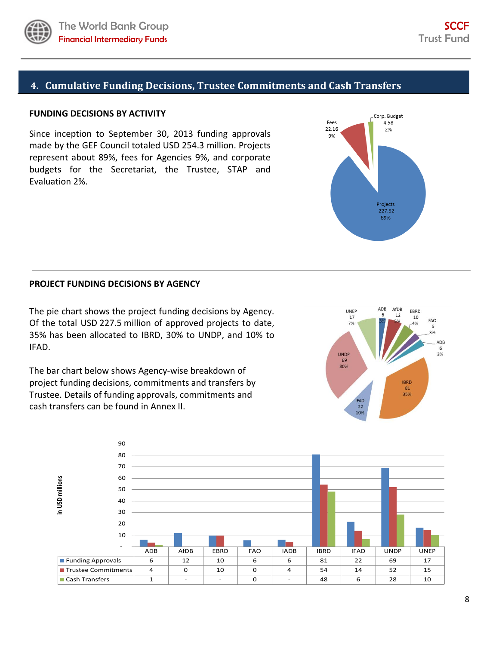

### <span id="page-7-0"></span>**FUNDING DECISIONS BY ACTIVITY**

Since inception to September 30, 2013 funding approvals made by the GEF Council totaled USD 254.3 million. Projects represent about 89%, fees for Agencies 9%, and corporate budgets for the Secretariat, the Trustee, STAP and Evaluation 2%.

#### **PROJECT FUNDING DECISIONS BY AGENCY**

The pie chart shows the project funding decisions by Agency. Of the total USD 227.5 million of approved projects to date, 35% has been allocated to IBRD, 30% to UNDP, and 10% to IFAD.

The bar chart below shows Agency-wise breakdown of project funding decisions, commitments and transfers by Trustee. Details of funding approvals, commitments and cash transfers can be found in Annex II.





Corp. Budget Fees 4.58 22.16  $2\%$ 9% Projects 227.52 89%

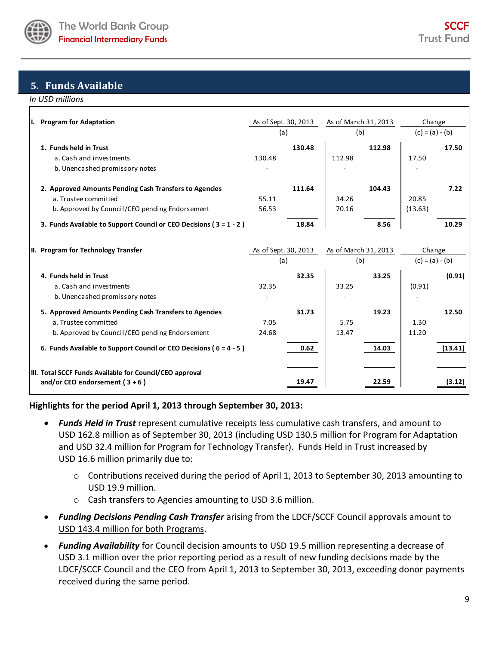

### <span id="page-8-0"></span>**5. Funds Available**

*In USD millions*

| Ι. | <b>Program for Adaptation</b>                                                                                                    | As of Sept. 30, 2013<br>(a) |        | As of March 31, 2013<br>(b) |        | Change<br>$(c) = (a) - (b)$ |         |
|----|----------------------------------------------------------------------------------------------------------------------------------|-----------------------------|--------|-----------------------------|--------|-----------------------------|---------|
|    | 1. Funds held in Trust<br>a. Cash and investments<br>b. Unencashed promissory notes                                              | 130.48                      | 130.48 | 112.98                      | 112.98 | 17.50                       | 17.50   |
|    | 2. Approved Amounts Pending Cash Transfers to Agencies<br>a. Trustee committed<br>b. Approved by Council/CEO pending Endorsement | 55.11<br>56.53              | 111.64 | 34.26<br>70.16              | 104.43 | 20.85<br>(13.63)            | 7.22    |
|    | 3. Funds Available to Support Council or CEO Decisions ( $3 = 1 - 2$ )                                                           |                             | 18.84  |                             | 8.56   |                             | 10.29   |
|    | II. Program for Technology Transfer                                                                                              | As of Sept. 30, 2013<br>(a) |        | As of March 31, 2013<br>(b) |        | Change<br>$(c) = (a) - (b)$ |         |
|    | 4. Funds held in Trust<br>a. Cash and investments<br>b. Unencashed promissory notes                                              | 32.35                       | 32.35  | 33.25                       | 33.25  | (0.91)                      | (0.91)  |
|    | 5. Approved Amounts Pending Cash Transfers to Agencies<br>a. Trustee committed<br>b. Approved by Council/CEO pending Endorsement | 7.05<br>24.68               | 31.73  | 5.75<br>13.47               | 19.23  | 1.30<br>11.20               | 12.50   |
|    | 6. Funds Available to Support Council or CEO Decisions ( $6 = 4 - 5$ )                                                           |                             | 0.62   |                             | 14.03  |                             | (13.41) |
|    | III. Total SCCF Funds Available for Council/CEO approval<br>and/or CEO endorsement $(3+6)$                                       |                             | 19.47  |                             | 22.59  |                             | (3.12)  |

### **Highlights for the period April 1, 2013 through September 30, 2013:**

- *Funds Held in Trust* represent cumulative receipts less cumulative cash transfers, and amount to USD 162.8 million as of September 30, 2013 (including USD 130.5 million for Program for Adaptation and USD 32.4 million for Program for Technology Transfer). Funds Held in Trust increased by USD 16.6 million primarily due to:
	- o Contributions received during the period of April 1, 2013 to September 30, 2013 amounting to USD 19.9 million.
	- o Cash transfers to Agencies amounting to USD 3.6 million.
- *Funding Decisions Pending Cash Transfer* arising from the LDCF/SCCF Council approvals amount to USD 143.4 million for both Programs.
- *Funding Availability* for Council decision amounts to USD 19.5 million representing a decrease of USD 3.1 million over the prior reporting period as a result of new funding decisions made by the LDCF/SCCF Council and the CEO from April 1, 2013 to September 30, 2013, exceeding donor payments received during the same period.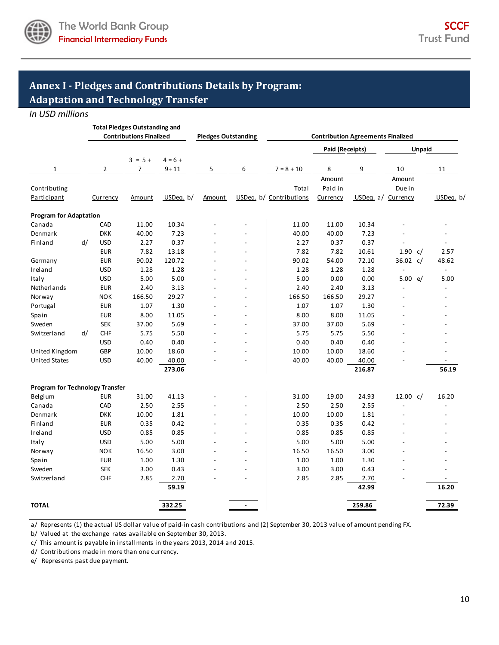

## <span id="page-9-0"></span>**Annex I - Pledges and Contributions Details by Program: Adaptation and Technology Transfer**

*In USD millions*

|                                        |    |                | <b>Total Pledges Outstanding and</b><br><b>Contributions Finalized</b> |             | <b>Pledges Outstanding</b> |                          |                         |                 | <b>Contribution Agreements Finalized</b> |                |                          |
|----------------------------------------|----|----------------|------------------------------------------------------------------------|-------------|----------------------------|--------------------------|-------------------------|-----------------|------------------------------------------|----------------|--------------------------|
|                                        |    |                |                                                                        |             |                            |                          |                         | Paid (Receipts) |                                          | <b>Unpaid</b>  |                          |
|                                        |    |                | $3 = 5 +$                                                              | $4 = 6 +$   |                            |                          |                         |                 |                                          |                |                          |
| $\mathbf{1}$                           |    | $\overline{2}$ | 7                                                                      | $9 + 11$    | 5                          | 6                        | $7 = 8 + 10$            | 8               | 9                                        | 10             | 11                       |
|                                        |    |                |                                                                        |             |                            |                          |                         | Amount          |                                          | Amount         |                          |
| Contributing                           |    |                |                                                                        |             |                            |                          | Total                   | Paid in         |                                          | Due in         |                          |
| Participant                            |    | Currency       | Amount                                                                 | USDeq. $b/$ | Amount                     |                          | USDeq. b/ Contributions | Currency        | USDeg. a/ Currency                       |                | USDeq. b/                |
| <b>Program for Adaptation</b>          |    |                |                                                                        |             |                            |                          |                         |                 |                                          |                |                          |
| Canada                                 |    | CAD            | 11.00                                                                  | 10.34       |                            |                          | 11.00                   | 11.00           | 10.34                                    |                |                          |
| Denmark                                |    | <b>DKK</b>     | 40.00                                                                  | 7.23        |                            |                          | 40.00                   | 40.00           | 7.23                                     |                |                          |
| Finland                                | d/ | <b>USD</b>     | 2.27                                                                   | 0.37        |                            |                          | 2.27                    | 0.37            | 0.37                                     |                |                          |
|                                        |    | <b>EUR</b>     | 7.82                                                                   | 13.18       |                            | $\overline{a}$           | 7.82                    | 7.82            | 10.61                                    | 1.90 $c/$      | 2.57                     |
| Germany                                |    | <b>EUR</b>     | 90.02                                                                  | 120.72      |                            |                          | 90.02                   | 54.00           | 72.10                                    | 36.02 $c/$     | 48.62                    |
| Ireland                                |    | <b>USD</b>     | 1.28                                                                   | 1.28        |                            |                          | 1.28                    | 1.28            | 1.28                                     | $\overline{a}$ | $\overline{\phantom{a}}$ |
| Italy                                  |    | <b>USD</b>     | 5.00                                                                   | 5.00        |                            | $\overline{a}$           | 5.00                    | 0.00            | 0.00                                     | 5.00 e/        | 5.00                     |
| Netherlands                            |    | <b>EUR</b>     | 2.40                                                                   | 3.13        |                            | $\overline{a}$           | 2.40                    | 2.40            | 3.13                                     |                |                          |
| Norway                                 |    | <b>NOK</b>     | 166.50                                                                 | 29.27       |                            | $\overline{a}$           | 166.50                  | 166.50          | 29.27                                    |                | $\overline{a}$           |
| Portugal                               |    | <b>EUR</b>     | 1.07                                                                   | 1.30        |                            | $\overline{a}$           | 1.07                    | 1.07            | 1.30                                     |                |                          |
| Spain                                  |    | <b>EUR</b>     | 8.00                                                                   | 11.05       |                            | $\overline{a}$           | 8.00                    | 8.00            | 11.05                                    |                |                          |
| Sweden                                 |    | <b>SEK</b>     | 37.00                                                                  | 5.69        |                            | $\overline{a}$           | 37.00                   | 37.00           | 5.69                                     |                |                          |
| Switzerland                            | d/ | CHF            | 5.75                                                                   | 5.50        |                            | $\overline{a}$           | 5.75                    | 5.75            | 5.50                                     |                |                          |
|                                        |    | <b>USD</b>     | 0.40                                                                   | 0.40        |                            | $\overline{a}$           | 0.40                    | 0.40            | 0.40                                     |                |                          |
| United Kingdom                         |    | GBP            | 10.00                                                                  | 18.60       |                            |                          | 10.00                   | 10.00           | 18.60                                    |                |                          |
| <b>United States</b>                   |    | <b>USD</b>     | 40.00                                                                  | 40.00       |                            | $\overline{a}$           | 40.00                   | 40.00           | 40.00                                    |                |                          |
|                                        |    |                |                                                                        | 273.06      |                            |                          |                         |                 | 216.87                                   |                | 56.19                    |
| <b>Program for Technology Transfer</b> |    |                |                                                                        |             |                            |                          |                         |                 |                                          |                |                          |
| Belgium                                |    | <b>EUR</b>     | 31.00                                                                  | 41.13       |                            |                          | 31.00                   | 19.00           | 24.93                                    | 12.00 $c/$     | 16.20                    |
| Canada                                 |    | CAD            | 2.50                                                                   | 2.55        |                            | $\overline{a}$           | 2.50                    | 2.50            | 2.55                                     |                |                          |
| Denmark                                |    | <b>DKK</b>     | 10.00                                                                  | 1.81        |                            | $\overline{a}$           | 10.00                   | 10.00           | 1.81                                     |                |                          |
| Finland                                |    | <b>EUR</b>     | 0.35                                                                   | 0.42        |                            | $\overline{a}$           | 0.35                    | 0.35            | 0.42                                     |                |                          |
| Ireland                                |    | <b>USD</b>     | 0.85                                                                   | 0.85        |                            | $\overline{a}$           | 0.85                    | 0.85            | 0.85                                     |                |                          |
| Italy                                  |    | <b>USD</b>     | 5.00                                                                   | 5.00        |                            | $\overline{a}$           | 5.00                    | 5.00            | 5.00                                     |                |                          |
| Norway                                 |    | <b>NOK</b>     | 16.50                                                                  | 3.00        |                            |                          | 16.50                   | 16.50           | 3.00                                     |                |                          |
| Spain                                  |    | <b>EUR</b>     | 1.00                                                                   | 1.30        |                            |                          | 1.00                    | 1.00            | 1.30                                     |                |                          |
| Sweden                                 |    | <b>SEK</b>     | 3.00                                                                   | 0.43        |                            |                          | 3.00                    | 3.00            | 0.43                                     |                |                          |
| Switzerland                            |    | <b>CHF</b>     | 2.85                                                                   | 2.70        |                            |                          | 2.85                    | 2.85            | 2.70                                     |                |                          |
|                                        |    |                |                                                                        | 59.19       |                            |                          |                         |                 | 42.99                                    |                | 16.20                    |
| <b>TOTAL</b>                           |    |                |                                                                        | 332.25      |                            | $\overline{\phantom{a}}$ |                         |                 | 259.86                                   |                | 72.39                    |

a/ Represents (1) the actual US dollar value of paid-in cash contributions and (2) September 30, 2013 value of amount pending FX.

b/ Valued at the exchange rates available on September 30, 2013.

c/ This amount is payable in installments in the years 2013, 2014 and 2015.

d/ Contributions made in more than one currency.

e/ Represents past due payment.